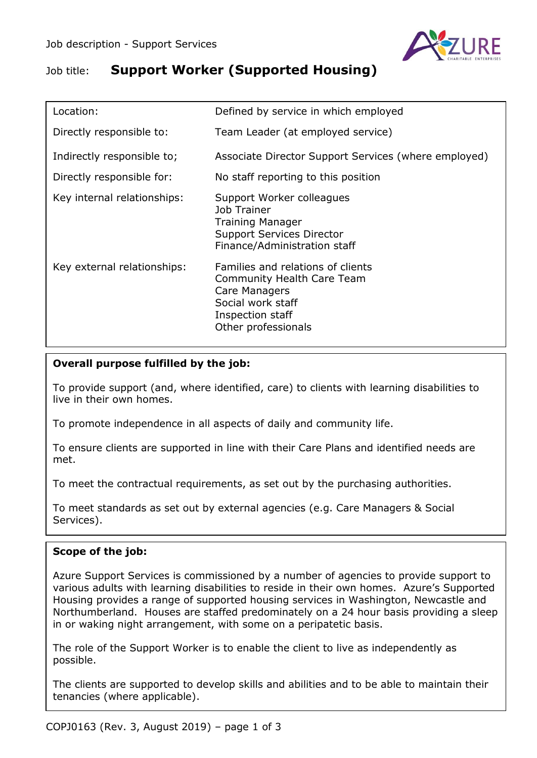

# Job title: **Support Worker (Supported Housing)**

| Location:                   | Defined by service in which employed                                                                                                             |
|-----------------------------|--------------------------------------------------------------------------------------------------------------------------------------------------|
| Directly responsible to:    | Team Leader (at employed service)                                                                                                                |
| Indirectly responsible to;  | Associate Director Support Services (where employed)                                                                                             |
| Directly responsible for:   | No staff reporting to this position                                                                                                              |
| Key internal relationships: | Support Worker colleagues<br>Job Trainer<br><b>Training Manager</b><br><b>Support Services Director</b><br>Finance/Administration staff          |
| Key external relationships: | Families and relations of clients<br>Community Health Care Team<br>Care Managers<br>Social work staff<br>Inspection staff<br>Other professionals |

# **Overall purpose fulfilled by the job:**

To provide support (and, where identified, care) to clients with learning disabilities to live in their own homes.

To promote independence in all aspects of daily and community life.

To ensure clients are supported in line with their Care Plans and identified needs are met.

To meet the contractual requirements, as set out by the purchasing authorities.

To meet standards as set out by external agencies (e.g. Care Managers & Social Services).

## **Scope of the job:**

Azure Support Services is commissioned by a number of agencies to provide support to various adults with learning disabilities to reside in their own homes. Azure's Supported Housing provides a range of supported housing services in Washington, Newcastle and Northumberland. Houses are staffed predominately on a 24 hour basis providing a sleep in or waking night arrangement, with some on a peripatetic basis.

The role of the Support Worker is to enable the client to live as independently as possible.

The clients are supported to develop skills and abilities and to be able to maintain their tenancies (where applicable).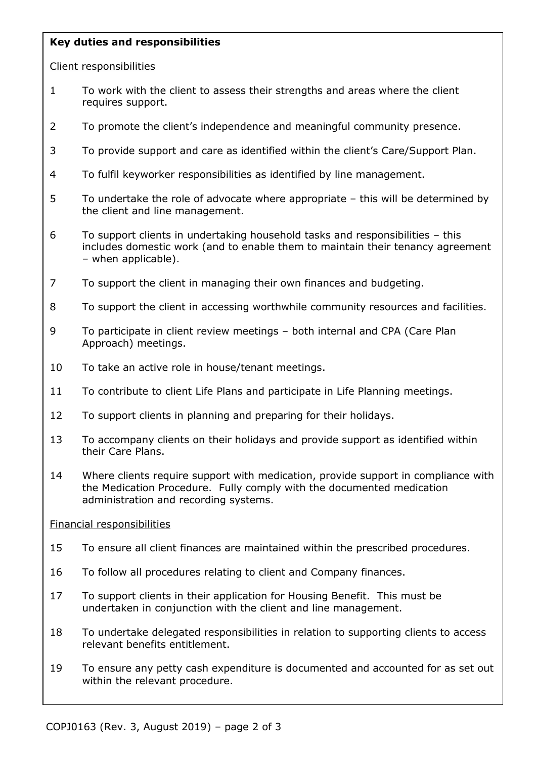## **Key duties and responsibilities**

#### Client responsibilities

- 1 To work with the client to assess their strengths and areas where the client requires support.
- 2 To promote the client's independence and meaningful community presence.
- 3 To provide support and care as identified within the client's Care/Support Plan.
- 4 To fulfil keyworker responsibilities as identified by line management.
- 5 To undertake the role of advocate where appropriate this will be determined by the client and line management.
- 6 To support clients in undertaking household tasks and responsibilities this includes domestic work (and to enable them to maintain their tenancy agreement – when applicable).
- 7 To support the client in managing their own finances and budgeting.
- 8 To support the client in accessing worthwhile community resources and facilities.
- 9 To participate in client review meetings both internal and CPA (Care Plan Approach) meetings.
- 10 To take an active role in house/tenant meetings.
- 11 To contribute to client Life Plans and participate in Life Planning meetings.
- 12 To support clients in planning and preparing for their holidays.
- 13 To accompany clients on their holidays and provide support as identified within their Care Plans.
- 14 Where clients require support with medication, provide support in compliance with the Medication Procedure. Fully comply with the documented medication administration and recording systems.

#### Financial responsibilities

- 15 To ensure all client finances are maintained within the prescribed procedures.
- 16 To follow all procedures relating to client and Company finances.
- 17 To support clients in their application for Housing Benefit. This must be undertaken in conjunction with the client and line management.
- 18 To undertake delegated responsibilities in relation to supporting clients to access relevant benefits entitlement.
- 19 To ensure any petty cash expenditure is documented and accounted for as set out within the relevant procedure.